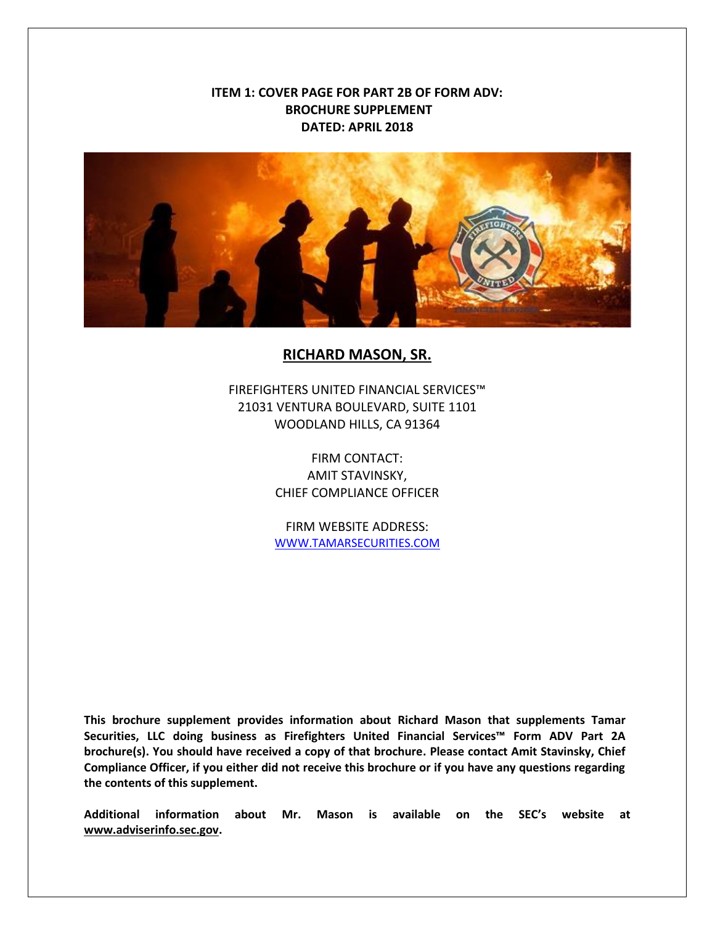## **ITEM 1: COVER PAGE FOR PART 2B OF FORM ADV: BROCHURE SUPPLEMENT DATED: APRIL 2018**



## **RICHARD MASON, SR.**

FIREFIGHTERS UNITED FINANCIAL SERVICES™ 21031 VENTURA BOULEVARD, SUITE 1101 WOODLAND HILLS, CA 91364

> FIRM CONTACT: AMIT STAVINSKY, CHIEF COMPLIANCE OFFICER

> FIRM WEBSITE ADDRESS: [WWW.TAMARSECURITIES.COM](../../../Form%20ADV/2A/WWW.TAMARSECURITIES.COM)

**This brochure supplement provides information about Richard Mason that supplements Tamar Securities, LLC doing business as Firefighters United Financial Services™ Form ADV Part 2A brochure(s). You should have received a copy of that brochure. Please contact Amit Stavinsky, Chief Compliance Officer, if you either did not receive this brochure or if you have any questions regarding the contents of this supplement.**

**Additional information about Mr. Mason is available on the SEC's website at [www.adviserinfo.sec.gov.](http://www.adviserinfo.sec.gov/)**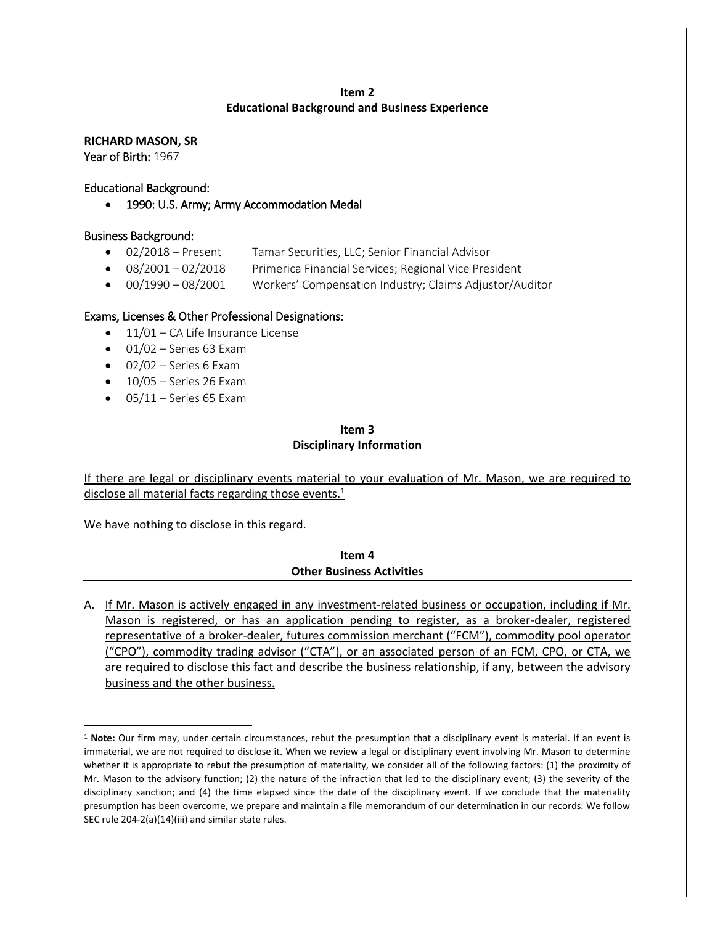#### **Item 2 Educational Background and Business Experience**

**RICHARD MASON, SR**

Year of Birth: 1967

#### Educational Background:

• 1990: U.S. Army; Army Accommodation Medal

#### Business Background:

- 02/2018 Present Tamar Securities, LLC; Senior Financial Advisor
- 08/2001 02/2018 Primerica Financial Services; Regional Vice President
- 00/1990 08/2001 Workers' Compensation Industry; Claims Adjustor/Auditor

#### Exams, Licenses & Other Professional Designations:

- 11/01 CA Life Insurance License
- $\bullet$  01/02 Series 63 Exam
- $\bullet$  02/02 Series 6 Exam
- $\bullet$  10/05 Series 26 Exam
- $\bullet$  05/11 Series 65 Exam

#### **Item 3 Disciplinary Information**

If there are legal or disciplinary events material to your evaluation of Mr. Mason, we are required to disclose all material facts regarding those events.<sup>1</sup>

We have nothing to disclose in this regard.

l

**Item 4 Other Business Activities**

A. If Mr. Mason is actively engaged in any investment-related business or occupation, including if Mr. Mason is registered, or has an application pending to register, as a broker-dealer, registered representative of a broker-dealer, futures commission merchant ("FCM"), commodity pool operator ("CPO"), commodity trading advisor ("CTA"), or an associated person of an FCM, CPO, or CTA, we are required to disclose this fact and describe the business relationship, if any, between the advisory business and the other business.

<sup>1</sup> **Note:** Our firm may, under certain circumstances, rebut the presumption that a disciplinary event is material. If an event is immaterial, we are not required to disclose it. When we review a legal or disciplinary event involving Mr. Mason to determine whether it is appropriate to rebut the presumption of materiality, we consider all of the following factors: (1) the proximity of Mr. Mason to the advisory function; (2) the nature of the infraction that led to the disciplinary event; (3) the severity of the disciplinary sanction; and (4) the time elapsed since the date of the disciplinary event. If we conclude that the materiality presumption has been overcome, we prepare and maintain a file memorandum of our determination in our records. We follow SEC rule 204-2(a)(14)(iii) and similar state rules.